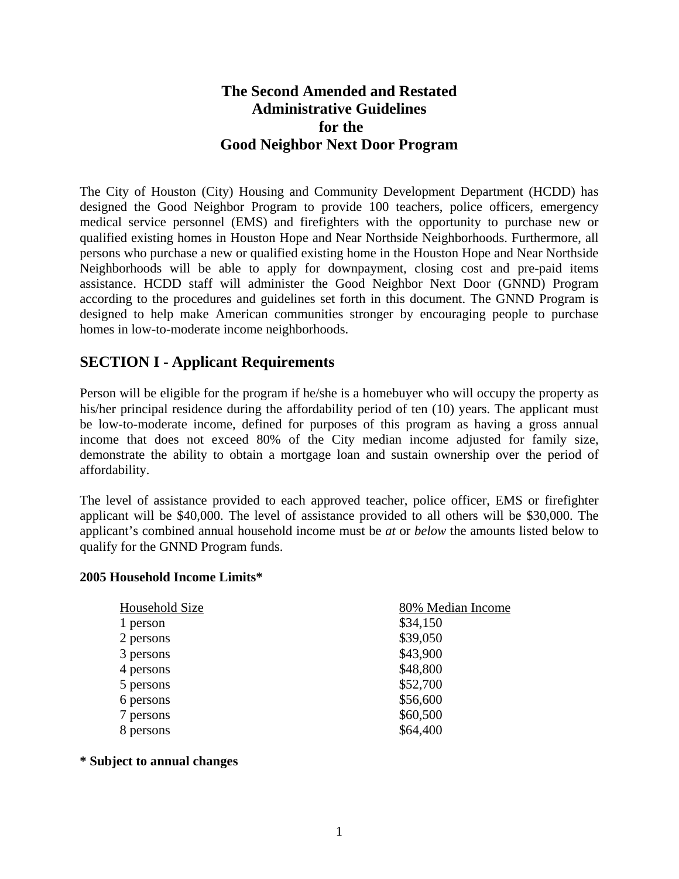# **The Second Amended and Restated Administrative Guidelines for the Good Neighbor Next Door Program**

The City of Houston (City) Housing and Community Development Department (HCDD) has designed the Good Neighbor Program to provide 100 teachers, police officers, emergency medical service personnel (EMS) and firefighters with the opportunity to purchase new or qualified existing homes in Houston Hope and Near Northside Neighborhoods. Furthermore, all persons who purchase a new or qualified existing home in the Houston Hope and Near Northside Neighborhoods will be able to apply for downpayment, closing cost and pre-paid items assistance. HCDD staff will administer the Good Neighbor Next Door (GNND) Program according to the procedures and guidelines set forth in this document. The GNND Program is designed to help make American communities stronger by encouraging people to purchase homes in low-to-moderate income neighborhoods.

# **SECTION I - Applicant Requirements**

Person will be eligible for the program if he/she is a homebuyer who will occupy the property as his/her principal residence during the affordability period of ten (10) years. The applicant must be low-to-moderate income, defined for purposes of this program as having a gross annual income that does not exceed 80% of the City median income adjusted for family size, demonstrate the ability to obtain a mortgage loan and sustain ownership over the period of affordability.

The level of assistance provided to each approved teacher, police officer, EMS or firefighter applicant will be \$40,000. The level of assistance provided to all others will be \$30,000. The applicant's combined annual household income must be *at* or *below* the amounts listed below to qualify for the GNND Program funds.

#### **2005 Household Income Limits\***

| Household Size | 80% Median Income |
|----------------|-------------------|
| 1 person       | \$34,150          |
| 2 persons      | \$39,050          |
| 3 persons      | \$43,900          |
| 4 persons      | \$48,800          |
| 5 persons      | \$52,700          |
| 6 persons      | \$56,600          |
| 7 persons      | \$60,500          |
| persons        | \$64,400          |

#### **\* Subject to annual changes**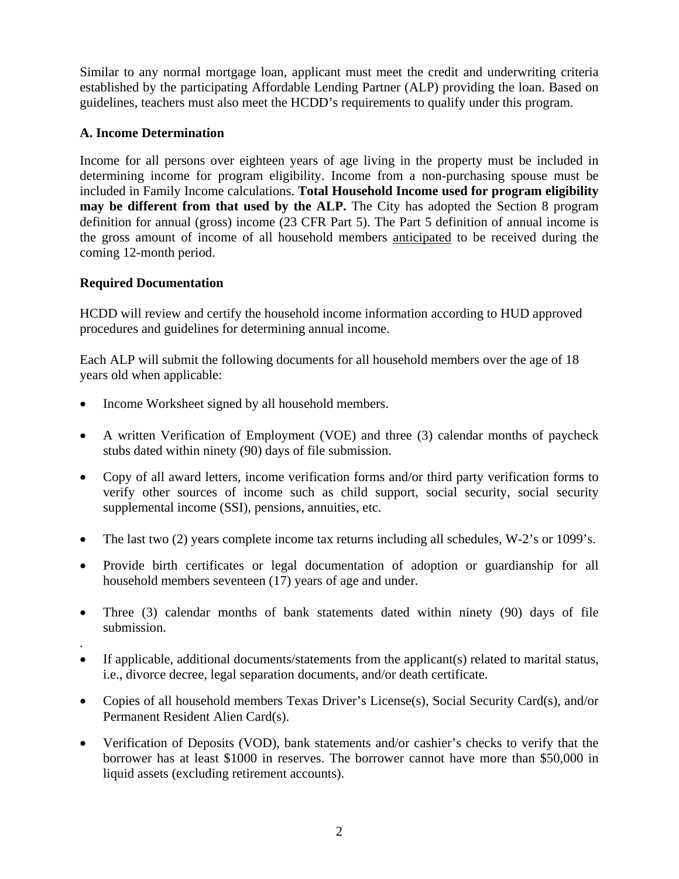Similar to any normal mortgage loan, applicant must meet the credit and underwriting criteria established by the participating Affordable Lending Partner (ALP) providing the loan. Based on guidelines, teachers must also meet the HCDD's requirements to qualify under this program.

## **A. Income Determination**

Income for all persons over eighteen years of age living in the property must be included in determining income for program eligibility. Income from a non-purchasing spouse must be included in Family Income calculations. **Total Household Income used for program eligibility may be different from that used by the ALP.** The City has adopted the Section 8 program definition for annual (gross) income (23 CFR Part 5). The Part 5 definition of annual income is the gross amount of income of all household members anticipated to be received during the coming 12-month period.

# **Required Documentation**

.

HCDD will review and certify the household income information according to HUD approved procedures and guidelines for determining annual income.

Each ALP will submit the following documents for all household members over the age of 18 years old when applicable:

- Income Worksheet signed by all household members.
- A written Verification of Employment (VOE) and three (3) calendar months of paycheck stubs dated within ninety (90) days of file submission.
- Copy of all award letters, income verification forms and/or third party verification forms to verify other sources of income such as child support, social security, social security supplemental income (SSI), pensions, annuities, etc.
- The last two (2) years complete income tax returns including all schedules, W-2's or 1099's.
- Provide birth certificates or legal documentation of adoption or guardianship for all household members seventeen (17) years of age and under.
- Three (3) calendar months of bank statements dated within ninety (90) days of file submission.
- If applicable, additional documents/statements from the applicant(s) related to marital status, i.e., divorce decree, legal separation documents, and/or death certificate.
- Copies of all household members Texas Driver's License(s), Social Security Card(s), and/or Permanent Resident Alien Card(s).
- Verification of Deposits (VOD), bank statements and/or cashier's checks to verify that the borrower has at least \$1000 in reserves. The borrower cannot have more than \$50,000 in liquid assets (excluding retirement accounts).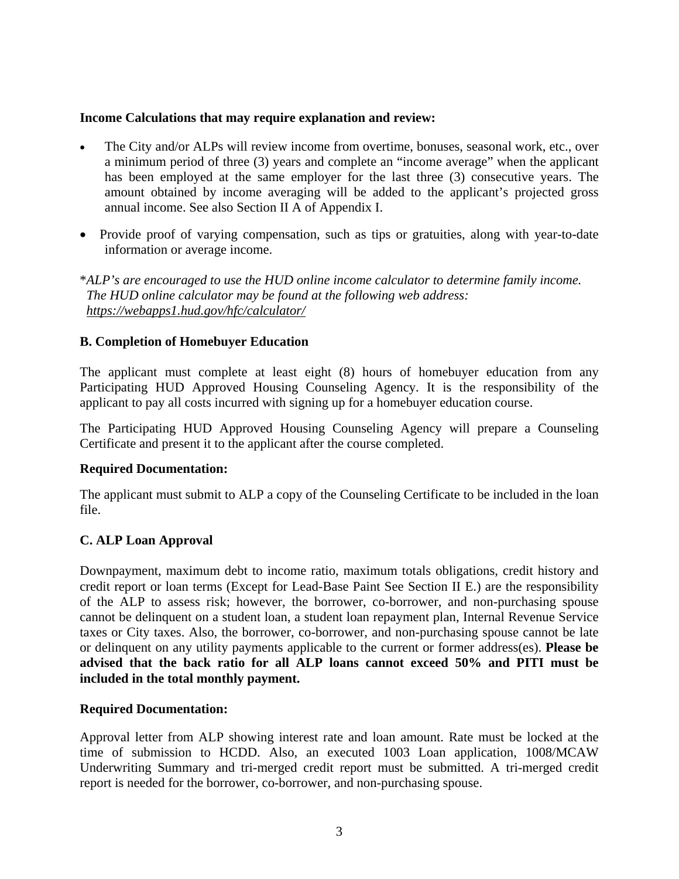#### **Income Calculations that may require explanation and review:**

- The City and/or ALPs will review income from overtime, bonuses, seasonal work, etc., over a minimum period of three (3) years and complete an "income average" when the applicant has been employed at the same employer for the last three (3) consecutive years. The amount obtained by income averaging will be added to the applicant's projected gross annual income. See also Section II A of Appendix I.
- Provide proof of varying compensation, such as tips or gratuities, along with year-to-date information or average income.

\**ALP's are encouraged to use the HUD online income calculator to determine family income. The HUD online calculator may be found at the following web address: https://webapps1.hud.gov/hfc/calculator/*

#### **B. Completion of Homebuyer Education**

The applicant must complete at least eight (8) hours of homebuyer education from any Participating HUD Approved Housing Counseling Agency. It is the responsibility of the applicant to pay all costs incurred with signing up for a homebuyer education course.

The Participating HUD Approved Housing Counseling Agency will prepare a Counseling Certificate and present it to the applicant after the course completed.

#### **Required Documentation:**

The applicant must submit to ALP a copy of the Counseling Certificate to be included in the loan file.

#### **C. ALP Loan Approval**

Downpayment, maximum debt to income ratio, maximum totals obligations, credit history and credit report or loan terms (Except for Lead-Base Paint See Section II E.) are the responsibility of the ALP to assess risk; however, the borrower, co-borrower, and non-purchasing spouse cannot be delinquent on a student loan, a student loan repayment plan, Internal Revenue Service taxes or City taxes. Also, the borrower, co-borrower, and non-purchasing spouse cannot be late or delinquent on any utility payments applicable to the current or former address(es). **Please be advised that the back ratio for all ALP loans cannot exceed 50% and PITI must be included in the total monthly payment.** 

#### **Required Documentation:**

Approval letter from ALP showing interest rate and loan amount. Rate must be locked at the time of submission to HCDD. Also, an executed 1003 Loan application, 1008/MCAW Underwriting Summary and tri-merged credit report must be submitted. A tri-merged credit report is needed for the borrower, co-borrower, and non-purchasing spouse.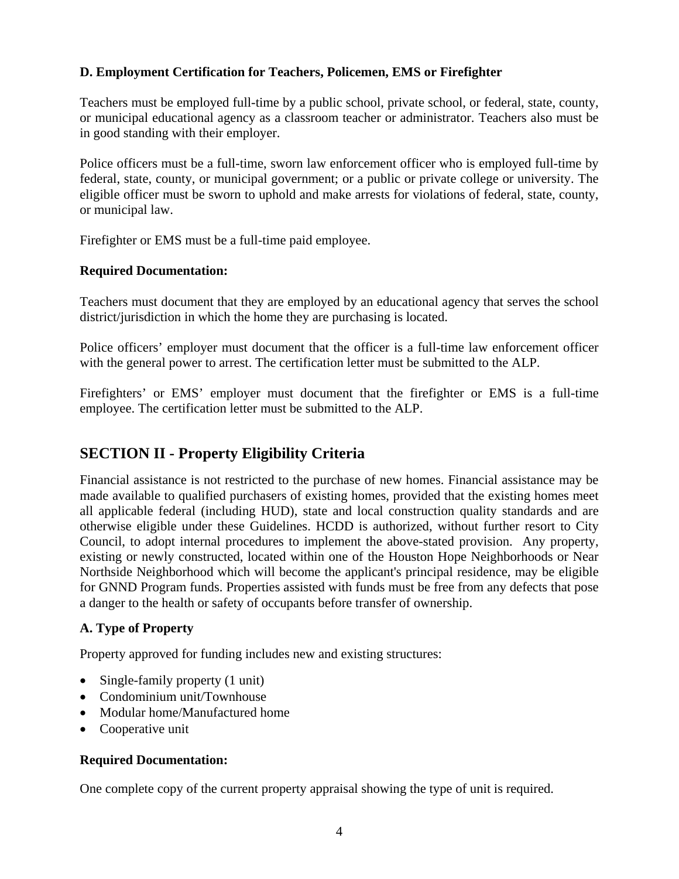### **D. Employment Certification for Teachers, Policemen, EMS or Firefighter**

Teachers must be employed full-time by a public school, private school, or federal, state, county, or municipal educational agency as a classroom teacher or administrator. Teachers also must be in good standing with their employer.

Police officers must be a full-time, sworn law enforcement officer who is employed full-time by federal, state, county, or municipal government; or a public or private college or university. The eligible officer must be sworn to uphold and make arrests for violations of federal, state, county, or municipal law.

Firefighter or EMS must be a full-time paid employee.

### **Required Documentation:**

Teachers must document that they are employed by an educational agency that serves the school district/jurisdiction in which the home they are purchasing is located.

Police officers' employer must document that the officer is a full-time law enforcement officer with the general power to arrest. The certification letter must be submitted to the ALP.

Firefighters' or EMS' employer must document that the firefighter or EMS is a full-time employee. The certification letter must be submitted to the ALP.

# **SECTION II - Property Eligibility Criteria**

Financial assistance is not restricted to the purchase of new homes. Financial assistance may be made available to qualified purchasers of existing homes, provided that the existing homes meet all applicable federal (including HUD), state and local construction quality standards and are otherwise eligible under these Guidelines. HCDD is authorized, without further resort to City Council, to adopt internal procedures to implement the above-stated provision. Any property, existing or newly constructed, located within one of the Houston Hope Neighborhoods or Near Northside Neighborhood which will become the applicant's principal residence, may be eligible for GNND Program funds. Properties assisted with funds must be free from any defects that pose a danger to the health or safety of occupants before transfer of ownership.

## **A. Type of Property**

Property approved for funding includes new and existing structures:

- Single-family property (1 unit)
- Condominium unit/Townhouse
- Modular home/Manufactured home
- Cooperative unit

## **Required Documentation:**

One complete copy of the current property appraisal showing the type of unit is required.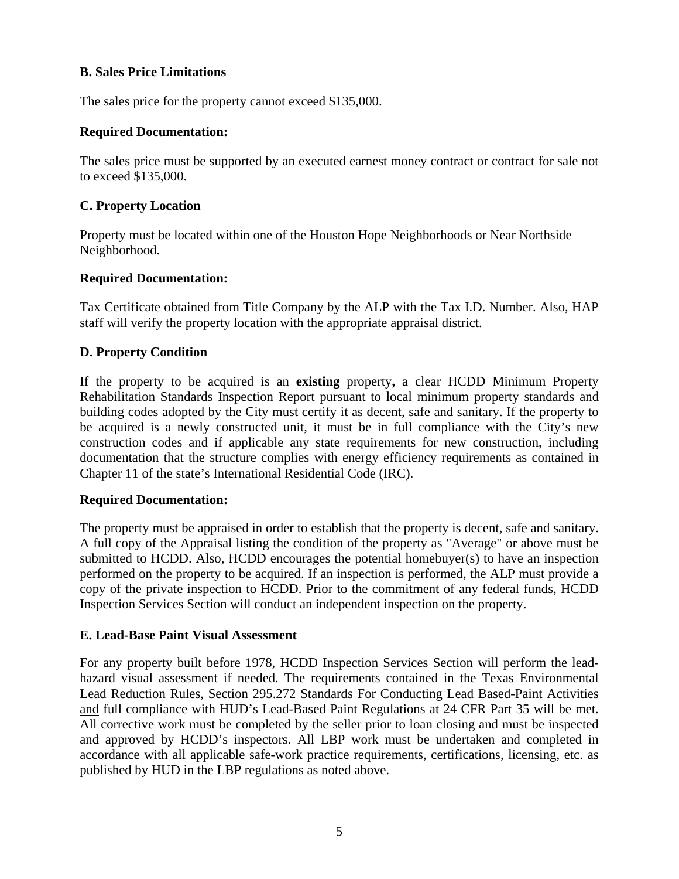### **B. Sales Price Limitations**

The sales price for the property cannot exceed \$135,000.

### **Required Documentation:**

The sales price must be supported by an executed earnest money contract or contract for sale not to exceed \$135,000.

### **C. Property Location**

Property must be located within one of the Houston Hope Neighborhoods or Near Northside Neighborhood.

### **Required Documentation:**

Tax Certificate obtained from Title Company by the ALP with the Tax I.D. Number. Also, HAP staff will verify the property location with the appropriate appraisal district.

## **D. Property Condition**

If the property to be acquired is an **existing** property**,** a clear HCDD Minimum Property Rehabilitation Standards Inspection Report pursuant to local minimum property standards and building codes adopted by the City must certify it as decent, safe and sanitary. If the property to be acquired is a newly constructed unit, it must be in full compliance with the City's new construction codes and if applicable any state requirements for new construction, including documentation that the structure complies with energy efficiency requirements as contained in Chapter 11 of the state's International Residential Code (IRC).

#### **Required Documentation:**

The property must be appraised in order to establish that the property is decent, safe and sanitary. A full copy of the Appraisal listing the condition of the property as "Average" or above must be submitted to HCDD. Also, HCDD encourages the potential homebuyer(s) to have an inspection performed on the property to be acquired. If an inspection is performed, the ALP must provide a copy of the private inspection to HCDD. Prior to the commitment of any federal funds, HCDD Inspection Services Section will conduct an independent inspection on the property.

#### **E. Lead-Base Paint Visual Assessment**

For any property built before 1978, HCDD Inspection Services Section will perform the leadhazard visual assessment if needed. The requirements contained in the Texas Environmental Lead Reduction Rules, Section 295.272 Standards For Conducting Lead Based-Paint Activities and full compliance with HUD's Lead-Based Paint Regulations at 24 CFR Part 35 will be met. All corrective work must be completed by the seller prior to loan closing and must be inspected and approved by HCDD's inspectors. All LBP work must be undertaken and completed in accordance with all applicable safe-work practice requirements, certifications, licensing, etc. as published by HUD in the LBP regulations as noted above.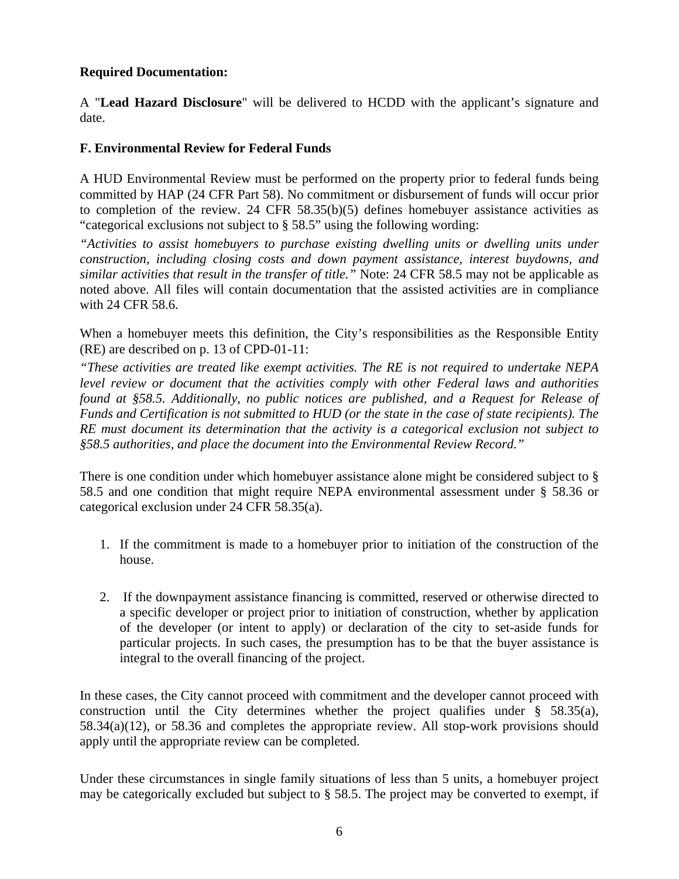# **Required Documentation:**

A "**Lead Hazard Disclosure**" will be delivered to HCDD with the applicant's signature and date.

# **F. Environmental Review for Federal Funds**

A HUD Environmental Review must be performed on the property prior to federal funds being committed by HAP (24 CFR Part 58). No commitment or disbursement of funds will occur prior to completion of the review. 24 CFR 58.35(b)(5) defines homebuyer assistance activities as "categorical exclusions not subject to § 58.5" using the following wording:

*"Activities to assist homebuyers to purchase existing dwelling units or dwelling units under construction, including closing costs and down payment assistance, interest buydowns, and similar activities that result in the transfer of title."* Note: 24 CFR 58.5 may not be applicable as noted above. All files will contain documentation that the assisted activities are in compliance with 24 CFR 58.6.

When a homebuyer meets this definition, the City's responsibilities as the Responsible Entity (RE) are described on p. 13 of CPD-01-11:

*"These activities are treated like exempt activities. The RE is not required to undertake NEPA level review or document that the activities comply with other Federal laws and authorities found at §58.5. Additionally, no public notices are published, and a Request for Release of Funds and Certification is not submitted to HUD (or the state in the case of state recipients). The RE must document its determination that the activity is a categorical exclusion not subject to §58.5 authorities, and place the document into the Environmental Review Record."*

There is one condition under which homebuyer assistance alone might be considered subject to § 58.5 and one condition that might require NEPA environmental assessment under § 58.36 or categorical exclusion under 24 CFR 58.35(a).

- 1. If the commitment is made to a homebuyer prior to initiation of the construction of the house.
- 2. If the downpayment assistance financing is committed, reserved or otherwise directed to a specific developer or project prior to initiation of construction, whether by application of the developer (or intent to apply) or declaration of the city to set-aside funds for particular projects. In such cases, the presumption has to be that the buyer assistance is integral to the overall financing of the project.

In these cases, the City cannot proceed with commitment and the developer cannot proceed with construction until the City determines whether the project qualifies under  $\S$  58.35(a), 58.34(a)(12), or 58.36 and completes the appropriate review. All stop-work provisions should apply until the appropriate review can be completed.

Under these circumstances in single family situations of less than 5 units, a homebuyer project may be categorically excluded but subject to § 58.5. The project may be converted to exempt, if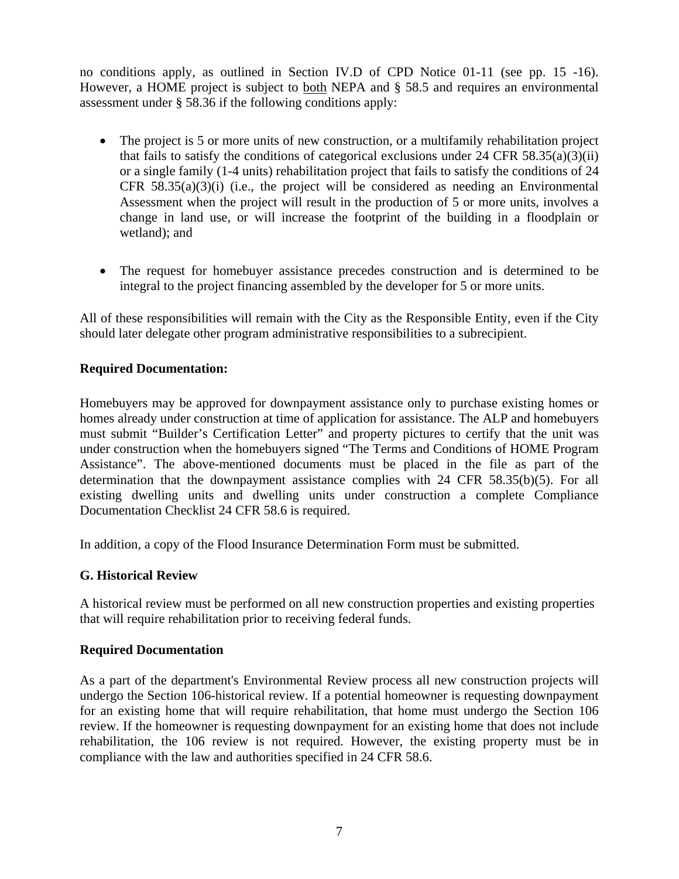no conditions apply, as outlined in Section IV.D of CPD Notice 01-11 (see pp. 15 -16). However, a HOME project is subject to <u>both</u> NEPA and § 58.5 and requires an environmental assessment under § 58.36 if the following conditions apply:

- The project is 5 or more units of new construction, or a multifamily rehabilitation project that fails to satisfy the conditions of categorical exclusions under 24 CFR  $58.35(a)(3)(ii)$ or a single family (1-4 units) rehabilitation project that fails to satisfy the conditions of 24 CFR  $58.35(a)(3)(i)$  (i.e., the project will be considered as needing an Environmental Assessment when the project will result in the production of 5 or more units, involves a change in land use, or will increase the footprint of the building in a floodplain or wetland); and
- The request for homebuyer assistance precedes construction and is determined to be integral to the project financing assembled by the developer for 5 or more units.

All of these responsibilities will remain with the City as the Responsible Entity, even if the City should later delegate other program administrative responsibilities to a subrecipient.

## **Required Documentation:**

Homebuyers may be approved for downpayment assistance only to purchase existing homes or homes already under construction at time of application for assistance. The ALP and homebuyers must submit "Builder's Certification Letter" and property pictures to certify that the unit was under construction when the homebuyers signed "The Terms and Conditions of HOME Program Assistance". The above-mentioned documents must be placed in the file as part of the determination that the downpayment assistance complies with 24 CFR 58.35(b)(5). For all existing dwelling units and dwelling units under construction a complete Compliance Documentation Checklist 24 CFR 58.6 is required.

In addition, a copy of the Flood Insurance Determination Form must be submitted.

## **G. Historical Review**

A historical review must be performed on all new construction properties and existing properties that will require rehabilitation prior to receiving federal funds.

#### **Required Documentation**

As a part of the department's Environmental Review process all new construction projects will undergo the Section 106-historical review. If a potential homeowner is requesting downpayment for an existing home that will require rehabilitation, that home must undergo the Section 106 review. If the homeowner is requesting downpayment for an existing home that does not include rehabilitation, the 106 review is not required. However, the existing property must be in compliance with the law and authorities specified in 24 CFR 58.6.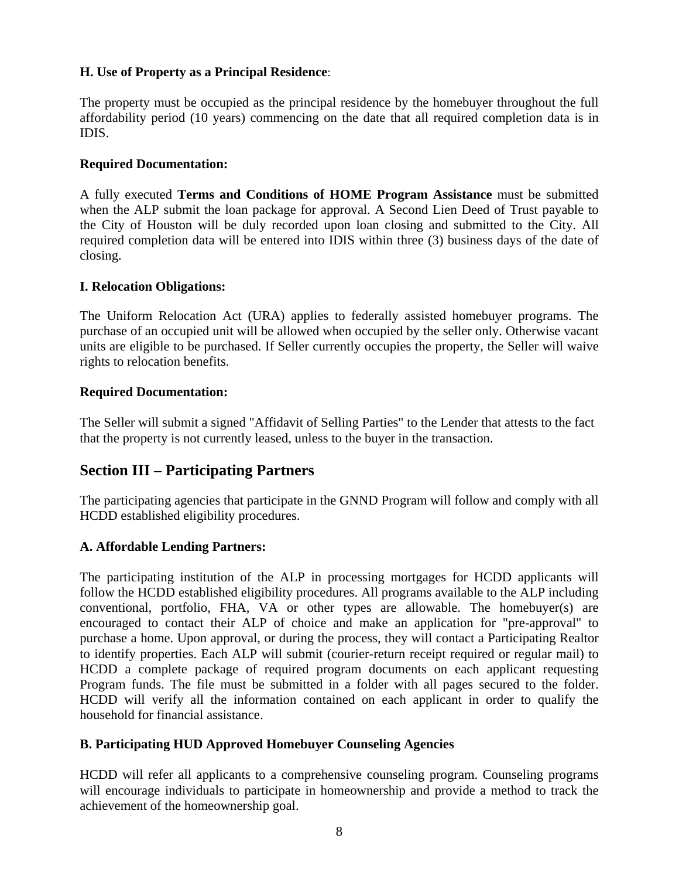### **H. Use of Property as a Principal Residence**:

The property must be occupied as the principal residence by the homebuyer throughout the full affordability period (10 years) commencing on the date that all required completion data is in IDIS.

### **Required Documentation:**

A fully executed **Terms and Conditions of HOME Program Assistance** must be submitted when the ALP submit the loan package for approval. A Second Lien Deed of Trust payable to the City of Houston will be duly recorded upon loan closing and submitted to the City. All required completion data will be entered into IDIS within three (3) business days of the date of closing.

### **I. Relocation Obligations:**

The Uniform Relocation Act (URA) applies to federally assisted homebuyer programs. The purchase of an occupied unit will be allowed when occupied by the seller only. Otherwise vacant units are eligible to be purchased. If Seller currently occupies the property, the Seller will waive rights to relocation benefits.

### **Required Documentation:**

The Seller will submit a signed "Affidavit of Selling Parties" to the Lender that attests to the fact that the property is not currently leased, unless to the buyer in the transaction.

# **Section III – Participating Partners**

The participating agencies that participate in the GNND Program will follow and comply with all HCDD established eligibility procedures.

## **A. Affordable Lending Partners:**

The participating institution of the ALP in processing mortgages for HCDD applicants will follow the HCDD established eligibility procedures. All programs available to the ALP including conventional, portfolio, FHA, VA or other types are allowable. The homebuyer(s) are encouraged to contact their ALP of choice and make an application for "pre-approval" to purchase a home. Upon approval, or during the process, they will contact a Participating Realtor to identify properties. Each ALP will submit (courier-return receipt required or regular mail) to HCDD a complete package of required program documents on each applicant requesting Program funds. The file must be submitted in a folder with all pages secured to the folder. HCDD will verify all the information contained on each applicant in order to qualify the household for financial assistance.

## **B. Participating HUD Approved Homebuyer Counseling Agencies**

HCDD will refer all applicants to a comprehensive counseling program. Counseling programs will encourage individuals to participate in homeownership and provide a method to track the achievement of the homeownership goal.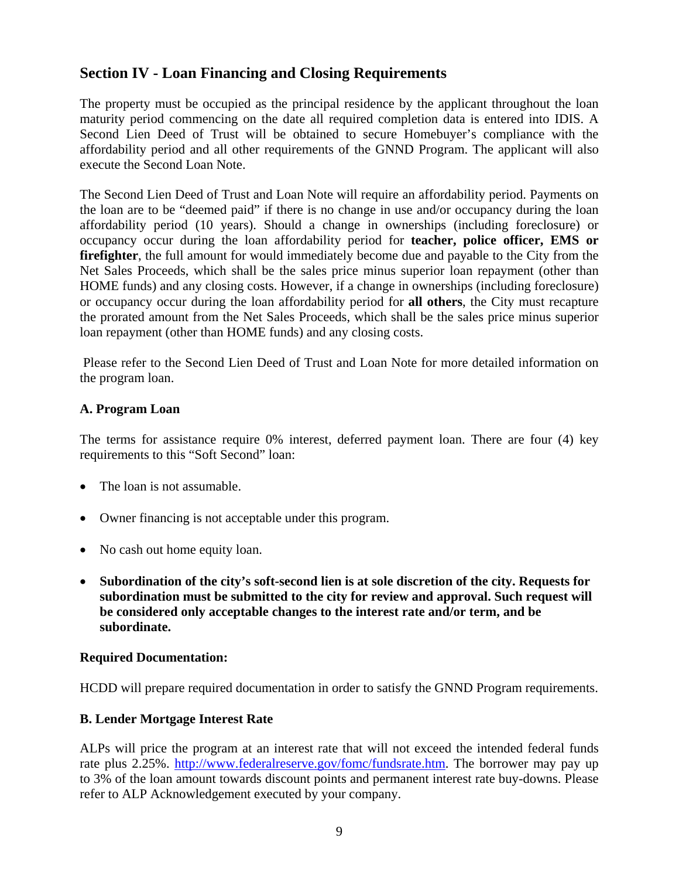# **Section IV - Loan Financing and Closing Requirements**

The property must be occupied as the principal residence by the applicant throughout the loan maturity period commencing on the date all required completion data is entered into IDIS. A Second Lien Deed of Trust will be obtained to secure Homebuyer's compliance with the affordability period and all other requirements of the GNND Program. The applicant will also execute the Second Loan Note.

The Second Lien Deed of Trust and Loan Note will require an affordability period. Payments on the loan are to be "deemed paid" if there is no change in use and/or occupancy during the loan affordability period (10 years). Should a change in ownerships (including foreclosure) or occupancy occur during the loan affordability period for **teacher, police officer, EMS or firefighter**, the full amount for would immediately become due and payable to the City from the Net Sales Proceeds, which shall be the sales price minus superior loan repayment (other than HOME funds) and any closing costs. However, if a change in ownerships (including foreclosure) or occupancy occur during the loan affordability period for **all others**, the City must recapture the prorated amount from the Net Sales Proceeds, which shall be the sales price minus superior loan repayment (other than HOME funds) and any closing costs.

Please refer to the Second Lien Deed of Trust and Loan Note for more detailed information on the program loan.

### **A. Program Loan**

The terms for assistance require 0% interest, deferred payment loan. There are four (4) key requirements to this "Soft Second" loan:

- The loan is not assumable.
- Owner financing is not acceptable under this program.
- No cash out home equity loan.
- **Subordination of the city's soft-second lien is at sole discretion of the city. Requests for subordination must be submitted to the city for review and approval. Such request will be considered only acceptable changes to the interest rate and/or term, and be subordinate.**

#### **Required Documentation:**

HCDD will prepare required documentation in order to satisfy the GNND Program requirements.

#### **B. Lender Mortgage Interest Rate**

ALPs will price the program at an interest rate that will not exceed the intended federal funds rate plus 2.25%. http://www.federalreserve.gov/fomc/fundsrate.htm. The borrower may pay up to 3% of the loan amount towards discount points and permanent interest rate buy-downs. Please refer to ALP Acknowledgement executed by your company.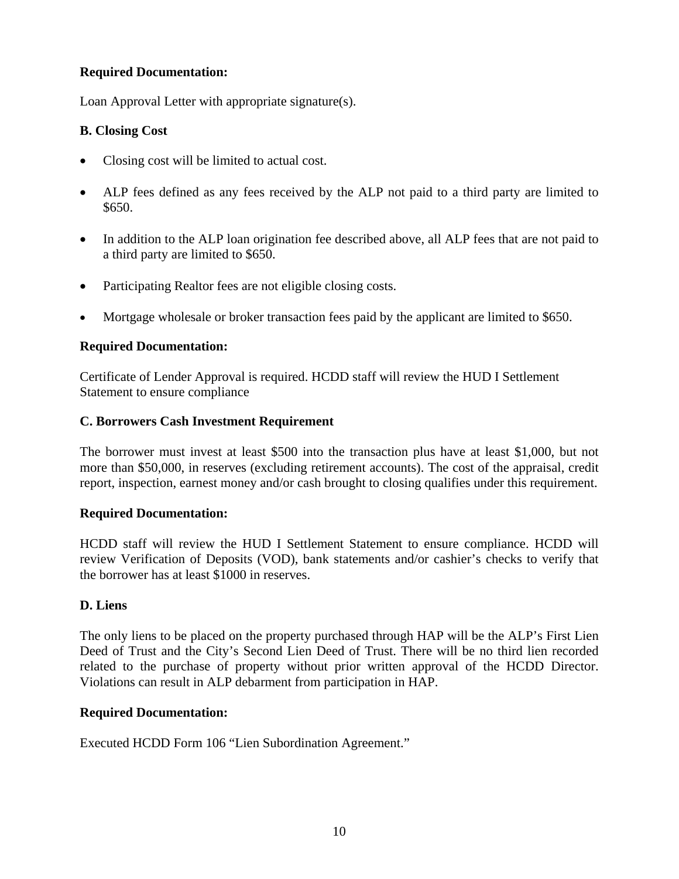# **Required Documentation:**

Loan Approval Letter with appropriate signature(s).

# **B. Closing Cost**

- Closing cost will be limited to actual cost.
- ALP fees defined as any fees received by the ALP not paid to a third party are limited to \$650.
- In addition to the ALP loan origination fee described above, all ALP fees that are not paid to a third party are limited to \$650.
- Participating Realtor fees are not eligible closing costs.
- Mortgage wholesale or broker transaction fees paid by the applicant are limited to \$650.

# **Required Documentation:**

Certificate of Lender Approval is required. HCDD staff will review the HUD I Settlement Statement to ensure compliance

# **C. Borrowers Cash Investment Requirement**

The borrower must invest at least \$500 into the transaction plus have at least \$1,000, but not more than \$50,000, in reserves (excluding retirement accounts). The cost of the appraisal, credit report, inspection, earnest money and/or cash brought to closing qualifies under this requirement.

## **Required Documentation:**

HCDD staff will review the HUD I Settlement Statement to ensure compliance. HCDD will review Verification of Deposits (VOD), bank statements and/or cashier's checks to verify that the borrower has at least \$1000 in reserves.

## **D. Liens**

The only liens to be placed on the property purchased through HAP will be the ALP's First Lien Deed of Trust and the City's Second Lien Deed of Trust. There will be no third lien recorded related to the purchase of property without prior written approval of the HCDD Director. Violations can result in ALP debarment from participation in HAP.

## **Required Documentation:**

Executed HCDD Form 106 "Lien Subordination Agreement."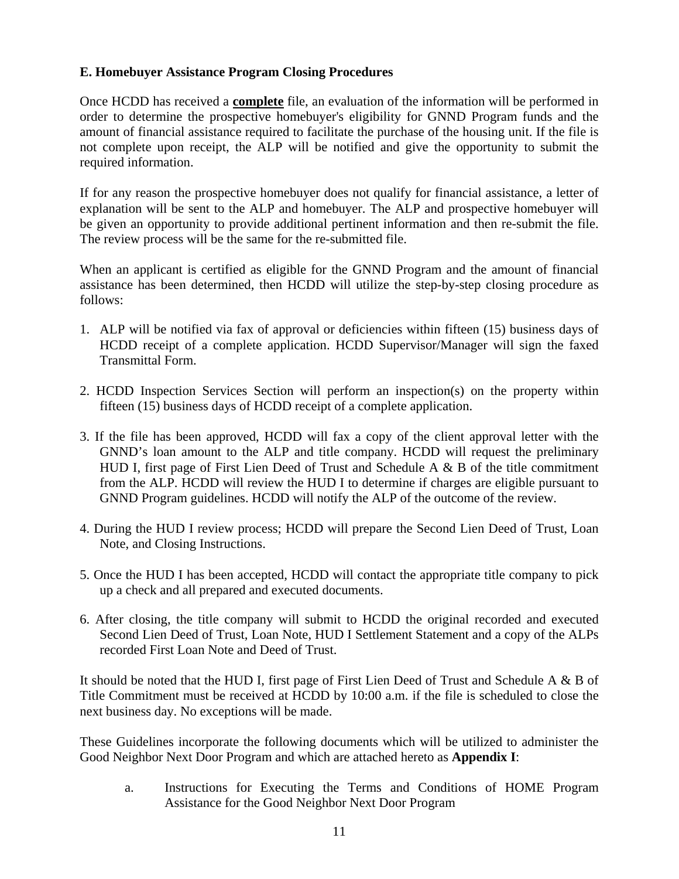### **E. Homebuyer Assistance Program Closing Procedures**

Once HCDD has received a **complete** file, an evaluation of the information will be performed in order to determine the prospective homebuyer's eligibility for GNND Program funds and the amount of financial assistance required to facilitate the purchase of the housing unit. If the file is not complete upon receipt, the ALP will be notified and give the opportunity to submit the required information.

If for any reason the prospective homebuyer does not qualify for financial assistance, a letter of explanation will be sent to the ALP and homebuyer. The ALP and prospective homebuyer will be given an opportunity to provide additional pertinent information and then re-submit the file. The review process will be the same for the re-submitted file.

When an applicant is certified as eligible for the GNND Program and the amount of financial assistance has been determined, then HCDD will utilize the step-by-step closing procedure as follows:

- 1. ALP will be notified via fax of approval or deficiencies within fifteen (15) business days of HCDD receipt of a complete application. HCDD Supervisor/Manager will sign the faxed Transmittal Form.
- 2. HCDD Inspection Services Section will perform an inspection(s) on the property within fifteen (15) business days of HCDD receipt of a complete application.
- 3. If the file has been approved, HCDD will fax a copy of the client approval letter with the GNND's loan amount to the ALP and title company. HCDD will request the preliminary HUD I, first page of First Lien Deed of Trust and Schedule A & B of the title commitment from the ALP. HCDD will review the HUD I to determine if charges are eligible pursuant to GNND Program guidelines. HCDD will notify the ALP of the outcome of the review.
- 4. During the HUD I review process; HCDD will prepare the Second Lien Deed of Trust, Loan Note, and Closing Instructions.
- 5. Once the HUD I has been accepted, HCDD will contact the appropriate title company to pick up a check and all prepared and executed documents.
- 6. After closing, the title company will submit to HCDD the original recorded and executed Second Lien Deed of Trust, Loan Note, HUD I Settlement Statement and a copy of the ALPs recorded First Loan Note and Deed of Trust.

It should be noted that the HUD I, first page of First Lien Deed of Trust and Schedule A & B of Title Commitment must be received at HCDD by 10:00 a.m. if the file is scheduled to close the next business day. No exceptions will be made.

These Guidelines incorporate the following documents which will be utilized to administer the Good Neighbor Next Door Program and which are attached hereto as **Appendix I**:

a. Instructions for Executing the Terms and Conditions of HOME Program Assistance for the Good Neighbor Next Door Program